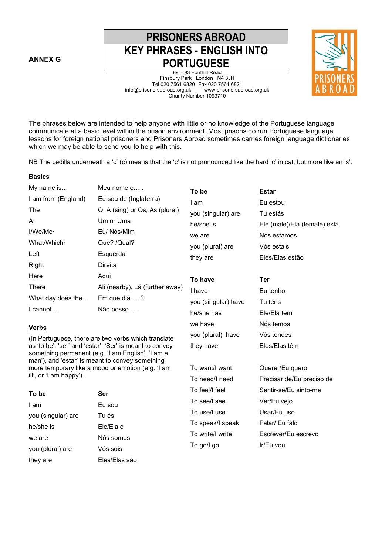**ANNEX G** 

**Basics** 

they are Eles/Elas são

# **PRISONERS ABROAD KEY PHRASES - ENGLISH INTO PORTUGUESE**

89 – 93 Fonthill Road Finsbury Park London N4 3JH Tel 020 7561 6820 Fax 020 7561 6821<br>nersabroad.org.uk www.prisonersabroad.org.uk info@prisonersabroad.org.uk Charity Number 1093710



The phrases below are intended to help anyone with little or no knowledge of the Portuguese language communicate at a basic level within the prison environment. Most prisons do run Portuguese language lessons for foreign national prisoners and Prisoners Abroad sometimes carries foreign language dictionaries which we may be able to send you to help with this.

NB The cedilla underneath a 'c' (ç) means that the 'c' is not pronounced like the hard 'c' in cat, but more like an 's'.

| My name is              | Meu nome é                                                                                                   | To be               | <b>Estar</b>                 |
|-------------------------|--------------------------------------------------------------------------------------------------------------|---------------------|------------------------------|
| I am from (England)     | Eu sou de (Inglaterra)                                                                                       | I am                | Eu estou                     |
| The                     | O, A (sing) or Os, As (plural)                                                                               | you (singular) are  | Tu estás                     |
| A۰                      | Um or Uma                                                                                                    | he/she is           | Ele (male)/Ela (female) está |
| I/We/Me·                | Eu/ Nós/Mim                                                                                                  | we are              | Nós estamos                  |
| What/Which·             | Que? /Qual?                                                                                                  | you (plural) are    | Vós estais                   |
| Left                    | Esquerda                                                                                                     | they are            | Eles/Elas estão              |
| Right                   | Direita                                                                                                      |                     |                              |
| Here                    | Aqui                                                                                                         | To have             | <b>Ter</b>                   |
| There                   | Ali (nearby), Lá (further away)                                                                              | I have              | Eu tenho                     |
| What day does the       | Em que dia?                                                                                                  | you (singular) have | Tu tens                      |
| I cannot                | Não posso                                                                                                    | he/she has          | Ele/Ela tem                  |
| <b>Verbs</b>            |                                                                                                              | we have             | Nós temos                    |
|                         | (In Portuguese, there are two verbs which translate                                                          | you (plural) have   | Vós tendes                   |
|                         | as 'to be': 'ser' and 'estar'. 'Ser' is meant to convey<br>something permanent (e.g. 'I am English', 'I am a | they have           | Eles/Elas têm                |
|                         | man'), and 'estar' is meant to convey something<br>more temporary like a mood or emotion (e.g. 'I am         | To want/I want      | Querer/Eu quero              |
| ill', or 'I am happy'). |                                                                                                              | To need/I need      | Precisar de/Eu preciso de    |
| To be                   | Ser                                                                                                          | To feel/I feel      | Sentir-se/Eu sinto-me        |
| I am                    | Eu sou                                                                                                       | To see/I see        | Ver/Eu vejo                  |
| you (singular) are      | Tu és                                                                                                        | To use/I use        | Usar/Eu uso                  |
| he/she is               | Ele/Ela é                                                                                                    | To speak/I speak    | Falar/ Eu falo               |
| we are                  | Nós somos                                                                                                    | To write/I write    | Escrever/Eu escrevo          |
| you (plural) are        | Vós sois                                                                                                     | To go/l go          | Ir/Eu vou                    |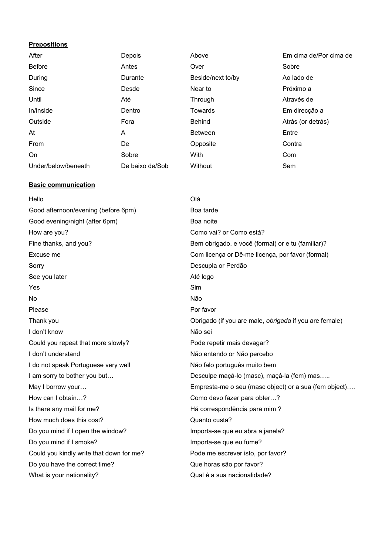#### **Prepositions**

| After               | Depois          | Above             | Em cima de/Por cima de |
|---------------------|-----------------|-------------------|------------------------|
| <b>Before</b>       | Antes           | Over              | Sobre                  |
| During              | Durante         | Beside/next to/by | Ao lado de             |
| Since               | Desde           | Near to           | Próximo a              |
| Until               | Até             | Through           | Através de             |
| In/inside           | Dentro          | Towards           | Em direcção a          |
| Outside             | Fora            | <b>Behind</b>     | Atrás (or detrás)      |
| At                  | A               | <b>Between</b>    | Entre                  |
| From                | De              | Opposite          | Contra                 |
| On                  | Sobre           | With              | Com                    |
| Under/below/beneath | De baixo de/Sob | Without           | Sem                    |

# **Basic communication**

| Hello                                    | Olá                                                    |
|------------------------------------------|--------------------------------------------------------|
| Good afternoon/evening (before 6pm)      | Boa tarde                                              |
| Good evening/night (after 6pm)           | Boa noite                                              |
| How are you?                             | Como vai? or Como está?                                |
| Fine thanks, and you?                    | Bem obrigado, e você (formal) or e tu (familiar)?      |
| Excuse me                                | Com licença or Dê-me licença, por favor (formal)       |
| Sorry                                    | Descupla or Perdão                                     |
| See you later                            | Até logo                                               |
| Yes                                      | Sim                                                    |
| No.                                      | Não                                                    |
| Please                                   | Por favor                                              |
| Thank you                                | Obrigado (if you are male, obrigada if you are female) |
| I don't know                             | Não sei                                                |
| Could you repeat that more slowly?       | Pode repetir mais devagar?                             |
| I don't understand                       | Não entendo or Não percebo                             |
| I do not speak Portuguese very well      | Não falo português muito bem                           |
| I am sorry to bother you but             | Desculpe maçá-lo (masc), maçá-la (fem) mas             |
| May I borrow your                        | Empresta-me o seu (masc object) or a sua (fem object)  |
| How can I obtain?                        | Como devo fazer para obter?                            |
| Is there any mail for me?                | Há correspondência para mim ?                          |
| How much does this cost?                 | Quanto custa?                                          |
| Do you mind if I open the window?        | Importa-se que eu abra a janela?                       |
| Do you mind if I smoke?                  | Importa-se que eu fume?                                |
| Could you kindly write that down for me? | Pode me escrever isto, por favor?                      |
| Do you have the correct time?            | Que horas são por favor?                               |
| What is your nationality?                | Qual é a sua nacionalidade?                            |
|                                          |                                                        |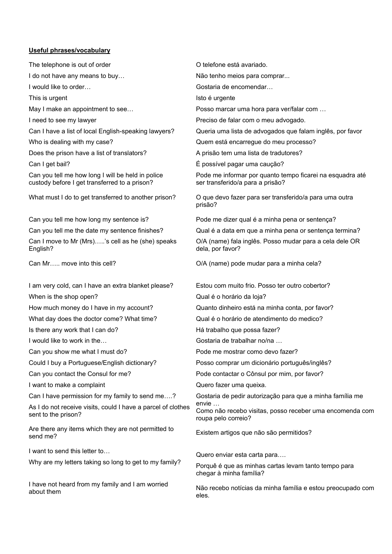#### **Useful phrases/vocabulary**

The telephone is out of order I do not have any means to buy… I would like to order… This is urgent May I make an appointment to see… I need to see my lawyer Can I have a list of local English-speaking lawyers? Who is dealing with my case? Does the prison have a list of translators? Can I get bail? Can you tell me how long I will be held in police custody before I get transferred to a prison? What must I do to get transferred to another prison? Can you tell me how long my sentence is? Can you tell me the date my sentence finishes? Can I move to Mr (Mrs)…..'s cell as he (she) speaks English? Can Mr….. move into this cell? I am very cold, can I have an extra blanket please? When is the shop open? How much money do I have in my account? What day does the doctor come? What time? Is there any work that I can do? I would like to work in the… Can you show me what I must do? Could I buy a Portuguese/English dictionary? Can you contact the Consul for me? I want to make a complaint Can I have permission for my family to send me….? As I do not receive visits, could I have a parcel of clothes sent to the prison? Are there any items which they are not permitted to send me? I want to send this letter to… Why are my letters taking so long to get to my family? I have not heard from my family and I am worried about them O telefone está avariado. Não tenho meios para comprar... Gostaria de encomendar… Isto é urgente Posso marcar uma hora para ver/falar com … Preciso de falar com o meu advogado. Queria uma lista de advogados que falam inglês, por favor Quem está encarregue do meu processo? A prisão tem uma lista de tradutores? É possível pagar uma caução? Pode me informar por quanto tempo ficarei na esquadra até ser transferido/a para a prisão? O que devo fazer para ser transferido/a para uma outra prisão? Pode me dizer qual é a minha pena or sentença? Qual é a data em que a minha pena or sentença termina? O/A (name) fala inglês. Posso mudar para a cela dele OR dela, por favor? O/A (name) pode mudar para a minha cela? Estou com muito frio. Posso ter outro cobertor? Qual é o horário da loja? Quanto dinheiro está na minha conta, por favor? Qual é o horário de atendimento do medico? Há trabalho que possa fazer? Gostaria de trabalhar no/na … Pode me mostrar como devo fazer? Posso comprar um dicionário português/inglês? Pode contactar o Cônsul por mim, por favor? Quero fazer uma queixa. Gostaria de pedir autorização para que a minha família me envie … Como não recebo visitas, posso receber uma encomenda com roupa pelo correio? Existem artigos que não são permitidos? Quero enviar esta carta para…. Porquê é que as minhas cartas levam tanto tempo para chegar à minha família?

Não recebo notícias da minha família e estou preocupado com eles.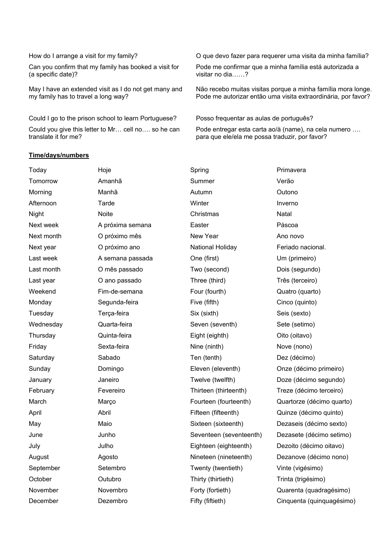#### How do I arrange a visit for my family?

Can you confirm that my family has booked a visit for (a specific date)?

May I have an extended visit as I do not get many and my family has to travel a long way?

Could I go to the prison school to learn Portuguese? Could you give this letter to Mr… cell no…. so he can translate it for me?

#### **Time/days/numbers**

O que devo fazer para requerer uma visita da minha família?

Pode me confirmar que a minha família está autorizada a visitar no dia……?

Não recebo muitas visitas porque a minha família mora longe. Pode me autorizar então uma visita extraordinária, por favor?

Posso frequentar as aulas de português?

Pode entregar esta carta ao/à (name), na cela numero …. para que ele/ela me possa traduzir, por favor?

| Today      | Hoje             | Spring                  | Primavera                 |
|------------|------------------|-------------------------|---------------------------|
| Tomorrow   | Amanhã           | Summer                  | Verão                     |
| Morning    | Manhã            | Autumn                  | Outono                    |
| Afternoon  | Tarde            | Winter                  | Inverno                   |
| Night      | Noite            | Christmas               | Natal                     |
| Next week  | A próxima semana | Easter                  | Páscoa                    |
| Next month | O próximo mês    | New Year                | Ano novo                  |
| Next year  | O próximo ano    | National Holiday        | Feriado nacional.         |
| Last week  | A semana passada | One (first)             | Um (primeiro)             |
| Last month | O mês passado    | Two (second)            | Dois (segundo)            |
| Last year  | O ano passado    | Three (third)           | Três (terceiro)           |
| Weekend    | Fim-de-semana    | Four (fourth)           | Quatro (quarto)           |
| Monday     | Segunda-feira    | Five (fifth)            | Cinco (quinto)            |
| Tuesday    | Terça-feira      | Six (sixth)             | Seis (sexto)              |
| Wednesday  | Quarta-feira     | Seven (seventh)         | Sete (setimo)             |
| Thursday   | Quinta-feira     | Eight (eighth)          | Oito (oitavo)             |
| Friday     | Sexta-feira      | Nine (ninth)            | Nove (nono)               |
| Saturday   | Sabado           | Ten (tenth)             | Dez (décimo)              |
| Sunday     | Domingo          | Eleven (eleventh)       | Onze (décimo primeiro)    |
| January    | Janeiro          | Twelve (twelfth)        | Doze (décimo segundo)     |
| February   | Fevereiro        | Thirteen (thirteenth)   | Treze (décimo terceiro)   |
| March      | Março            | Fourteen (fourteenth)   | Quartorze (décimo quarto) |
| April      | Abril            | Fifteen (fifteenth)     | Quinze (décimo quinto)    |
| May        | Maio             | Sixteen (sixteenth)     | Dezaseis (décimo sexto)   |
| June       | Junho            | Seventeen (seventeenth) | Dezasete (décimo setimo)  |
| July       | Julho            | Eighteen (eighteenth)   | Dezoito (décimo oitavo)   |
| August     | Agosto           | Nineteen (nineteenth)   | Dezanove (décimo nono)    |
| September  | Setembro         | Twenty (twentieth)      | Vinte (vigésimo)          |
| October    | Outubro          | Thirty (thirtieth)      | Trinta (trigésimo)        |
| November   | Novembro         | Forty (fortieth)        | Quarenta (quadragésimo)   |
| December   | Dezembro         | Fifty (fiftieth)        | Cinquenta (quinquagésimo) |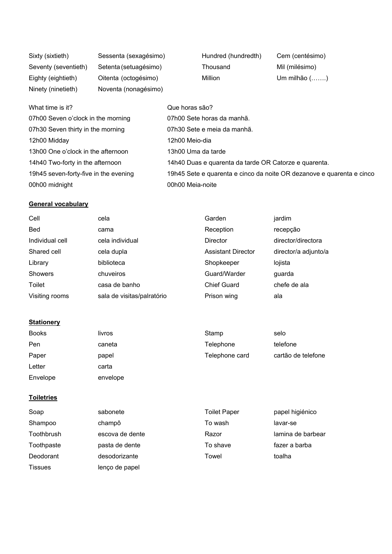| Sixty (sixtieth)     | Sessenta (sexagésimo) | Hundred (hundredth) | Cem (centésimo)     |
|----------------------|-----------------------|---------------------|---------------------|
| Seventy (seventieth) | Setenta (setuagésimo) | Thousand            | Mil (milésimo)      |
| Eighty (eightieth)   | Oitenta (octogésimo)  | Million             | Um milhão $(\dots)$ |
| Ninety (ninetieth)   | Noventa (nonagésimo)  |                     |                     |

| What time is it?                      | Que horas são?                                                        |
|---------------------------------------|-----------------------------------------------------------------------|
| 07h00 Seven o'clock in the morning    | 07h00 Sete horas da manhã.                                            |
| 07h30 Seven thirty in the morning     | 07h30 Sete e meia da manhã.                                           |
| 12h00 Midday                          | 12h00 Meio-dia                                                        |
| 13h00 One o'clock in the afternoon    | 13h00 Uma da tarde                                                    |
| 14h40 Two-forty in the afternoon      | 14h40 Duas e quarenta da tarde OR Catorze e quarenta.                 |
| 19h45 seven-forty-five in the evening | 19h45 Sete e quarenta e cinco da noite OR dezanove e quarenta e cinco |
| 00h00 midnight                        | 00h00 Meia-noite                                                      |

# **General vocabulary**

| Cell            | cela                       | Garden                    | jardim               |
|-----------------|----------------------------|---------------------------|----------------------|
| <b>Bed</b>      | cama                       | Reception                 | recepção             |
| Individual cell | cela individual            | <b>Director</b>           | director/directora   |
| Shared cell     | cela dupla                 | <b>Assistant Director</b> | director/a adjunto/a |
| Library         | biblioteca                 | Shopkeeper                | lojista              |
| <b>Showers</b>  | chuveiros                  | Guard/Warder              | quarda               |
| Toilet          | casa de banho              | <b>Chief Guard</b>        | chefe de ala         |
| Visiting rooms  | sala de visitas/palratório | Prison wing               | ala                  |

## **Stationery**

| <b>Books</b> | livros   | Stamp          | selo               |
|--------------|----------|----------------|--------------------|
| Pen          | caneta   | Telephone      | telefone           |
| Paper        | papel    | Telephone card | cartão de telefone |
| Letter       | carta    |                |                    |
| Envelope     | envelope |                |                    |

### **Toiletries**

| Soap           | sabonete        | <b>Toilet Paper</b> | papel higiénico   |
|----------------|-----------------|---------------------|-------------------|
| Shampoo        | champô          | To wash             | lavar-se          |
| Toothbrush     | escova de dente | Razor               | lamina de barbear |
| Toothpaste     | pasta de dente  | To shave            | fazer a barba     |
| Deodorant      | desodorizante   | Towel               | toalha            |
| <b>Tissues</b> | lenço de papel  |                     |                   |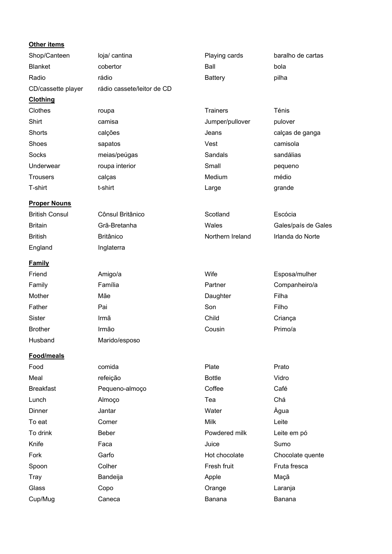| Other items             |                            |                  |                     |
|-------------------------|----------------------------|------------------|---------------------|
| Shop/Canteen            | loja/ cantina              | Playing cards    | baralho de cartas   |
| <b>Blanket</b>          | cobertor                   | Ball             | bola                |
| Radio                   | rádio                      | <b>Battery</b>   | pilha               |
| CD/cassette player      | rádio cassete/leitor de CD |                  |                     |
| <b>Clothing</b>         |                            |                  |                     |
| Clothes                 | roupa                      | <b>Trainers</b>  | Ténis               |
| Shirt                   | camisa                     | Jumper/pullover  | pulover             |
| <b>Shorts</b>           | calções                    | Jeans            | calças de ganga     |
| Shoes                   | sapatos                    | Vest             | camisola            |
| Socks                   | meias/peúgas               | Sandals          | sandálias           |
| Underwear               | roupa interior             | Small            | pequeno             |
| <b>Trousers</b>         | calças                     | Medium           | médio               |
| T-shirt                 | t-shirt                    | Large            | grande              |
| <b>Proper Nouns</b>     |                            |                  |                     |
| <b>British Consul</b>   | Cônsul Britânico           | Scotland         | Escócia             |
| <b>Britain</b>          | Grã-Bretanha               | Wales            | Gales/país de Gales |
| <b>British</b>          | <b>Britânico</b>           | Northern Ireland | Irlanda do Norte    |
| England                 | Inglaterra                 |                  |                     |
|                         |                            |                  |                     |
| <b>Family</b><br>Friend | Amigo/a                    | Wife             | Esposa/mulher       |
| Family                  | Família                    | Partner          | Companheiro/a       |
| Mother                  | Mãe                        | Daughter         | Filha               |
| Father                  | Pai                        | Son              | Filho               |
| Sister                  | Irmã                       | Child            | Criança             |
| <b>Brother</b>          | Irmão                      | Cousin           | Primo/a             |
| Husband                 | Marido/esposo              |                  |                     |
|                         |                            |                  |                     |
| Food/meals              |                            |                  |                     |
| Food                    | comida                     | Plate            | Prato               |
| Meal                    | refeição                   | <b>Bottle</b>    | Vidro               |
| <b>Breakfast</b>        | Pequeno-almoço             | Coffee           | Café                |
| Lunch                   | Almoço                     | Tea              | Chá                 |
| Dinner                  | Jantar                     | Water            | Àgua                |
| To eat                  | Comer                      | <b>Milk</b>      | Leite               |
| To drink                | Beber                      | Powdered milk    | Leite em pó         |
| Knife                   | Faca                       | Juice            | Sumo                |
| Fork                    | Garfo                      | Hot chocolate    | Chocolate quente    |
| Spoon                   | Colher                     | Fresh fruit      | Fruta fresca        |
| Tray                    | Bandeija                   | Apple            | Maçã                |
| Glass                   | Copo                       | Orange           | Laranja             |
| Cup/Mug                 | Caneca                     | Banana           | Banana              |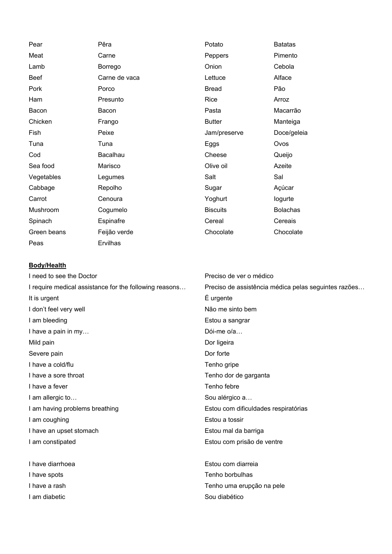| Pear        | Pêra          | Potato          | <b>Batatas</b>  |
|-------------|---------------|-----------------|-----------------|
| Meat        | Carne         | Peppers         | Pimento         |
| Lamb        | Borrego       | Onion           | Cebola          |
| <b>Beef</b> | Carne de vaca | Lettuce         | Alface          |
| Pork        | Porco         | <b>Bread</b>    | Pão             |
| Ham         | Presunto      | Rice            | Arroz           |
| Bacon       | Bacon         | Pasta           | Macarrão        |
| Chicken     | Frango        | <b>Butter</b>   | Manteiga        |
| Fish        | Peixe         | Jam/preserve    | Doce/geleia     |
| Tuna        | Tuna          | Eggs            | Ovos            |
| Cod         | Bacalhau      | Cheese          | Queijo          |
| Sea food    | Marisco       | Olive oil       | Azeite          |
| Vegetables  | Legumes       | Salt            | Sal             |
| Cabbage     | Repolho       | Sugar           | Açúcar          |
| Carrot      | Cenoura       | Yoghurt         | logurte         |
| Mushroom    | Cogumelo      | <b>Biscuits</b> | <b>Bolachas</b> |
| Spinach     | Espinafre     | Cereal          | Cereais         |
| Green beans | Feijão verde  | Chocolate       | Chocolate       |
| Peas        | Ervilhas      |                 |                 |

#### **Body/Health**

I need to see the Doctor I require medical assistance for the following reasons… It is urgent I don't feel very well I am bleeding I have a pain in my… Mild pain Severe pain I have a cold/flu I have a sore throat I have a fever I am allergic to… I am having problems breathing I am coughing I have an upset stomach I am constipated

I have diarrhoea I have spots I have a rash I am diabetic

Preciso de ver o médico Preciso de assistência médica pelas seguintes razões… É urgente Não me sinto bem Estou a sangrar Dói-me o/a… Dor ligeira Dor forte Tenho gripe Tenho dor de garganta Tenho febre Sou alérgico a… Estou com dificuldades respiratórias Estou a tossir Estou mal da barriga Estou com prisão de ventre

Estou com diarreia Tenho borbulhas Tenho uma erupção na pele Sou diabético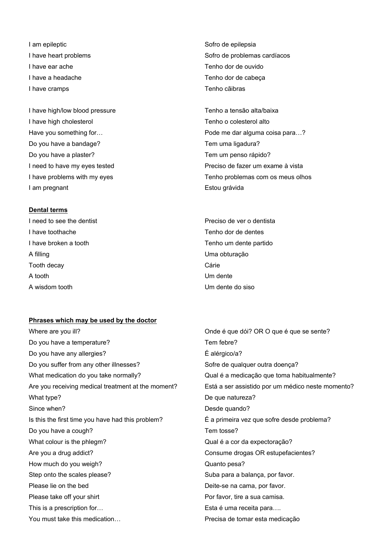I am epileptic I have heart problems I have ear ache I have a headache I have cramps

I have high/low blood pressure I have high cholesterol Have you something for… Do you have a bandage? Do you have a plaster? I need to have my eyes tested I have problems with my eyes I am pregnant

#### **Dental terms**

I need to see the dentist I have toothache I have broken a tooth A filling Tooth decay A tooth A wisdom tooth

# Sofro de epilepsia Sofro de problemas cardíacos Tenho dor de ouvido Tenho dor de cabeça Tenho cãibras

Tenho a tensão alta/baixa Tenho o colesterol alto Pode me dar alguma coisa para…? Tem uma ligadura? Tem um penso rápido? Preciso de fazer um exame à vista Tenho problemas com os meus olhos Estou grávida

Preciso de ver o dentista Tenho dor de dentes Tenho um dente partido Uma obturação Cárie Um dente Um dente do siso

#### **Phrases which may be used by the doctor**

Where are you ill? Do you have a temperature? Do you have any allergies? Do you suffer from any other illnesses? What medication do you take normally? Are you receiving medical treatment at the moment? What type? Since when? Is this the first time you have had this problem? Do you have a cough? What colour is the phlegm? Are you a drug addict? How much do you weigh? Step onto the scales please? Please lie on the bed Please take off your shirt This is a prescription for… You must take this medication…

Onde é que dói? OR O que é que se sente? Tem febre? É alérgico/a? Sofre de qualquer outra doença? Qual é a medicação que toma habitualmente? Está a ser assistido por um médico neste momento? De que natureza? Desde quando? É a primeira vez que sofre desde problema? Tem tosse? Qual é a cor da expectoração? Consume drogas OR estupefacientes? Quanto pesa? Suba para a balança, por favor. Deite-se na cama, por favor. Por favor, tire a sua camisa. Esta é uma receita para…. Precisa de tomar esta medicação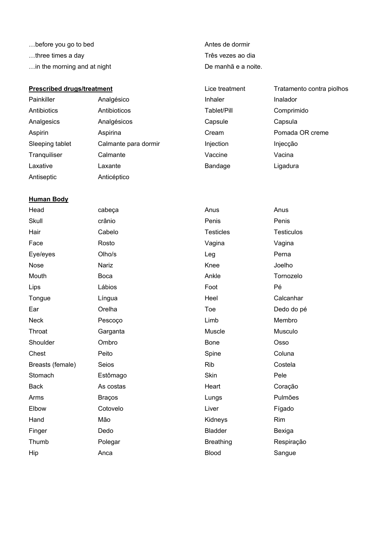- …before you go to bed
- …three times a day
- …in the morning and at night

#### **Prescribed drugs/treatment**

- Painkiller **Analgésico** Antibiotics Antibioticos Analgesics Analgésicos Aspirin Aspirina Sleeping tablet Calmante para dormir
- Tranquiliser Calmante Laxative Laxante Antiseptic Anticéptico

# Antes de dormir Três vezes ao dia De manhã e a noite.

Lice treatment Tratamento contra piolhos Inhaler Inalador Tablet/Pill Comprimido Capsule Capsula Cream Pomada OR creme Injection Injecção Vaccine Vacina Bandage Ligadura

#### **Human Body**

| Head             | cabeça        | Anus             | Anus              |
|------------------|---------------|------------------|-------------------|
| Skull            | crânio        | Penis            | Penis             |
| Hair             | Cabelo        | <b>Testicles</b> | <b>Testiculos</b> |
| Face             | Rosto         | Vagina           | Vagina            |
| Eye/eyes         | Olho/s        | Leg              | Perna             |
| Nose             | Nariz         | Knee             | Joelho            |
| Mouth            | Boca          | Ankle            | Tornozelo         |
| Lips             | Lábios        | Foot             | Pé                |
| Tongue           | Língua        | Heel             | Calcanhar         |
| Ear              | Orelha        | Toe              | Dedo do pé        |
| <b>Neck</b>      | Pescoço       | Limb             | Membro            |
| Throat           | Garganta      | Muscle           | Musculo           |
| Shoulder         | Ombro         | <b>Bone</b>      | Osso              |
| Chest            | Peito         | Spine            | Coluna            |
| Breasts (female) | Seios         | <b>Rib</b>       | Costela           |
| Stomach          | Estômago      | Skin             | Pele              |
| <b>Back</b>      | As costas     | Heart            | Coração           |
| Arms             | <b>Braços</b> | Lungs            | Pulmões           |
| Elbow            | Cotovelo      | Liver            | Fígado            |
| Hand             | Mão           | Kidneys          | Rim               |
| Finger           | Dedo          | <b>Bladder</b>   | Bexiga            |
| Thumb            | Polegar       | <b>Breathing</b> | Respiração        |
| Hip              | Anca          | <b>Blood</b>     | Sangue            |
|                  |               |                  |                   |